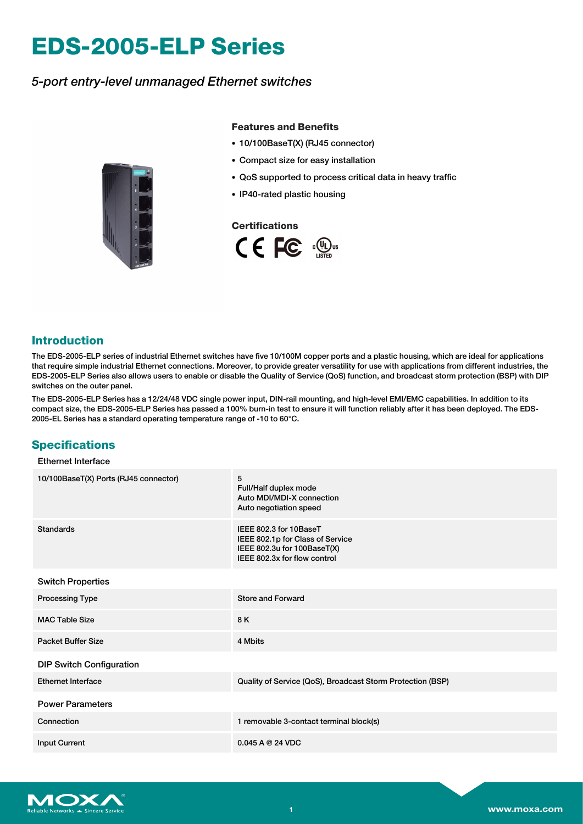# **EDS-2005-ELP Series**

# *5-port entry-level unmanaged Ethernet switches*



## **Features and Benefits**

- 10/100BaseT(X) (RJ45 connector)
- Compact size for easy installation
- QoS supported to process critical data in heavy traffic
- IP40-rated plastic housing

### **Certifications**



## **Introduction**

The EDS-2005-ELP series of industrial Ethernet switches have five 10/100M copper ports and a plastic housing, which are ideal for applications that require simple industrial Ethernet connections. Moreover, to provide greater versatility for use with applications from different industries, the EDS-2005-ELP Series also allows users to enable or disable the Quality of Service (QoS) function, and broadcast storm protection (BSP) with DIP switches on the outer panel.

The EDS-2005-ELP Series has a 12/24/48 VDC single power input, DIN-rail mounting, and high-level EMI/EMC capabilities. In addition to its compact size, the EDS-2005-ELP Series has passed a 100% burn-in test to ensure it will function reliably after it has been deployed. The EDS-2005-EL Series has a standard operating temperature range of -10 to 60°C.

## **Specifications**

### Ethernet Interface

| 10/100BaseT(X) Ports (RJ45 connector) | 5<br>Full/Half duplex mode<br>Auto MDI/MDI-X connection<br>Auto negotiation speed                                         |  |  |
|---------------------------------------|---------------------------------------------------------------------------------------------------------------------------|--|--|
| Standards                             | IEEE 802.3 for 10BaseT<br>IEEE 802.1p for Class of Service<br>IEEE 802.3u for 100BaseT(X)<br>IEEE 802.3x for flow control |  |  |
| <b>Switch Properties</b>              |                                                                                                                           |  |  |
| <b>Processing Type</b>                | <b>Store and Forward</b>                                                                                                  |  |  |
| <b>MAC Table Size</b>                 | 8K                                                                                                                        |  |  |
| <b>Packet Buffer Size</b>             | 4 Mbits                                                                                                                   |  |  |
| <b>DIP Switch Configuration</b>       |                                                                                                                           |  |  |
| <b>Ethernet Interface</b>             | Quality of Service (QoS), Broadcast Storm Protection (BSP)                                                                |  |  |
| <b>Power Parameters</b>               |                                                                                                                           |  |  |
| Connection                            | 1 removable 3-contact terminal block(s)                                                                                   |  |  |
| <b>Input Current</b>                  | 0.045A@24VDC                                                                                                              |  |  |

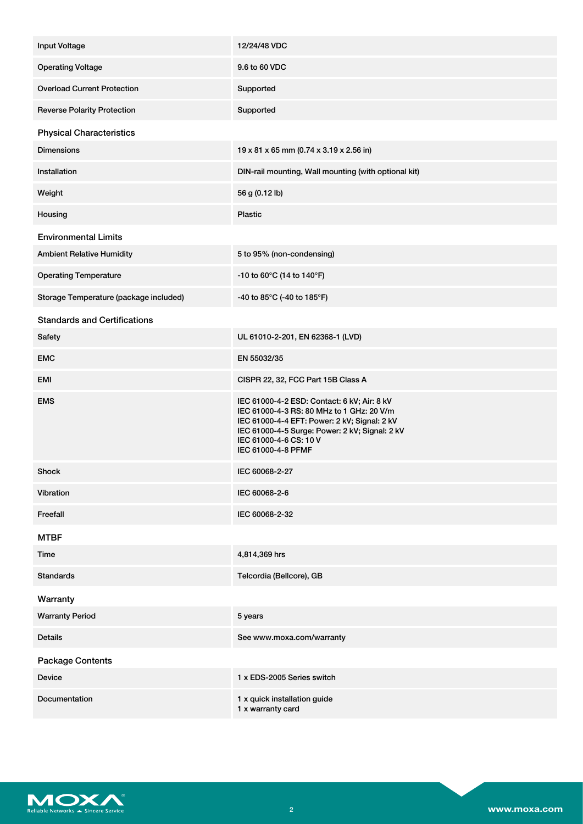| Input Voltage                          | 12/24/48 VDC                                                                                                                                                                                                                               |
|----------------------------------------|--------------------------------------------------------------------------------------------------------------------------------------------------------------------------------------------------------------------------------------------|
| <b>Operating Voltage</b>               | 9.6 to 60 VDC                                                                                                                                                                                                                              |
| <b>Overload Current Protection</b>     | Supported                                                                                                                                                                                                                                  |
| <b>Reverse Polarity Protection</b>     | Supported                                                                                                                                                                                                                                  |
| <b>Physical Characteristics</b>        |                                                                                                                                                                                                                                            |
| <b>Dimensions</b>                      | 19 x 81 x 65 mm (0.74 x 3.19 x 2.56 in)                                                                                                                                                                                                    |
| Installation                           | DIN-rail mounting, Wall mounting (with optional kit)                                                                                                                                                                                       |
| Weight                                 | 56 g (0.12 lb)                                                                                                                                                                                                                             |
| Housing                                | <b>Plastic</b>                                                                                                                                                                                                                             |
| <b>Environmental Limits</b>            |                                                                                                                                                                                                                                            |
| <b>Ambient Relative Humidity</b>       | 5 to 95% (non-condensing)                                                                                                                                                                                                                  |
| <b>Operating Temperature</b>           | -10 to 60 $^{\circ}$ C (14 to 140 $^{\circ}$ F)                                                                                                                                                                                            |
| Storage Temperature (package included) | -40 to 85°C (-40 to 185°F)                                                                                                                                                                                                                 |
| <b>Standards and Certifications</b>    |                                                                                                                                                                                                                                            |
| Safety                                 | UL 61010-2-201, EN 62368-1 (LVD)                                                                                                                                                                                                           |
| <b>EMC</b>                             | EN 55032/35                                                                                                                                                                                                                                |
| EMI                                    | CISPR 22, 32, FCC Part 15B Class A                                                                                                                                                                                                         |
| <b>EMS</b>                             | IEC 61000-4-2 ESD: Contact: 6 kV; Air: 8 kV<br>IEC 61000-4-3 RS: 80 MHz to 1 GHz: 20 V/m<br>IEC 61000-4-4 EFT: Power: 2 kV; Signal: 2 kV<br>IEC 61000-4-5 Surge: Power: 2 kV; Signal: 2 kV<br>IEC 61000-4-6 CS: 10 V<br>IEC 61000-4-8 PFMF |
| <b>Shock</b>                           | IEC 60068-2-27                                                                                                                                                                                                                             |
| Vibration                              | IEC 60068-2-6                                                                                                                                                                                                                              |
| Freefall                               | IEC 60068-2-32                                                                                                                                                                                                                             |
| <b>MTBF</b>                            |                                                                                                                                                                                                                                            |
| Time                                   | 4,814,369 hrs                                                                                                                                                                                                                              |
| <b>Standards</b>                       | Telcordia (Bellcore), GB                                                                                                                                                                                                                   |
| Warranty                               |                                                                                                                                                                                                                                            |
| <b>Warranty Period</b>                 | 5 years                                                                                                                                                                                                                                    |
| <b>Details</b>                         | See www.moxa.com/warranty                                                                                                                                                                                                                  |
| <b>Package Contents</b>                |                                                                                                                                                                                                                                            |
| <b>Device</b>                          | 1 x EDS-2005 Series switch                                                                                                                                                                                                                 |
| <b>Documentation</b>                   | 1 x quick installation guide<br>1 x warranty card                                                                                                                                                                                          |